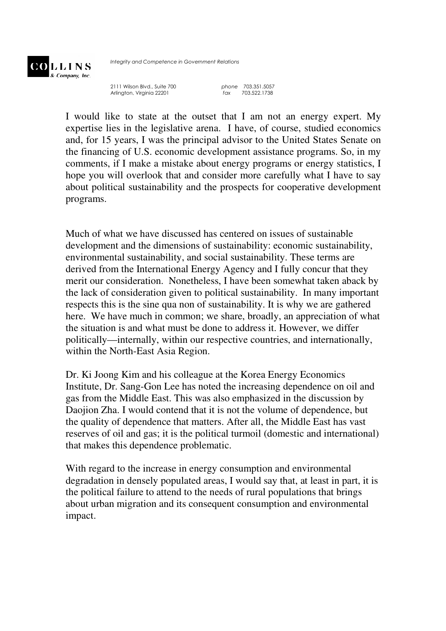

Integrity and Competence in Government Relations

2111 Wilson Blvd., Suite 700 phone 703.351.5057<br>Arlington, Virginia 22201 fax 703.522.1738 Arlington, Virginia 22201

I would like to state at the outset that I am not an energy expert. My expertise lies in the legislative arena. I have, of course, studied economics and, for 15 years, I was the principal advisor to the United States Senate on the financing of U.S. economic development assistance programs. So, in my comments, if I make a mistake about energy programs or energy statistics, I hope you will overlook that and consider more carefully what I have to say about political sustainability and the prospects for cooperative development programs.

Much of what we have discussed has centered on issues of sustainable development and the dimensions of sustainability: economic sustainability, environmental sustainability, and social sustainability. These terms are derived from the International Energy Agency and I fully concur that they merit our consideration. Nonetheless, I have been somewhat taken aback by the lack of consideration given to political sustainability. In many important respects this is the sine qua non of sustainability. It is why we are gathered here. We have much in common; we share, broadly, an appreciation of what the situation is and what must be done to address it. However, we differ politically—internally, within our respective countries, and internationally, within the North-East Asia Region.

Dr. Ki Joong Kim and his colleague at the Korea Energy Economics Institute, Dr. Sang-Gon Lee has noted the increasing dependence on oil and gas from the Middle East. This was also emphasized in the discussion by Daojion Zha. I would contend that it is not the volume of dependence, but the quality of dependence that matters. After all, the Middle East has vast reserves of oil and gas; it is the political turmoil (domestic and international) that makes this dependence problematic.

With regard to the increase in energy consumption and environmental degradation in densely populated areas, I would say that, at least in part, it is the political failure to attend to the needs of rural populations that brings about urban migration and its consequent consumption and environmental impact.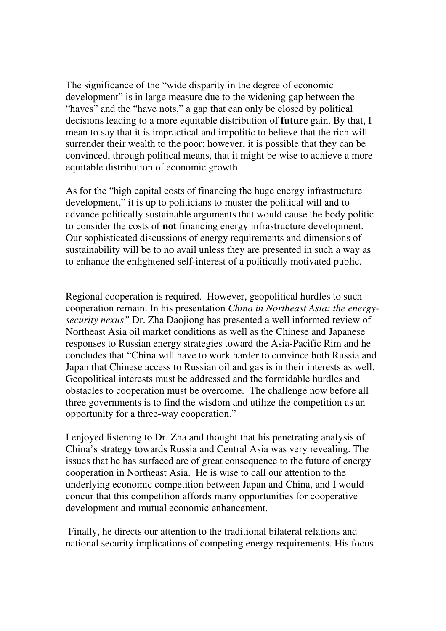The significance of the "wide disparity in the degree of economic development" is in large measure due to the widening gap between the "haves" and the "have nots," a gap that can only be closed by political decisions leading to a more equitable distribution of **future** gain. By that, I mean to say that it is impractical and impolitic to believe that the rich will surrender their wealth to the poor; however, it is possible that they can be convinced, through political means, that it might be wise to achieve a more equitable distribution of economic growth.

As for the "high capital costs of financing the huge energy infrastructure development," it is up to politicians to muster the political will and to advance politically sustainable arguments that would cause the body politic to consider the costs of **not** financing energy infrastructure development. Our sophisticated discussions of energy requirements and dimensions of sustainability will be to no avail unless they are presented in such a way as to enhance the enlightened self-interest of a politically motivated public.

Regional cooperation is required. However, geopolitical hurdles to such cooperation remain. In his presentation *China in Northeast Asia: the energysecurity nexus"* Dr. Zha Daojiong has presented a well informed review of Northeast Asia oil market conditions as well as the Chinese and Japanese responses to Russian energy strategies toward the Asia-Pacific Rim and he concludes that "China will have to work harder to convince both Russia and Japan that Chinese access to Russian oil and gas is in their interests as well. Geopolitical interests must be addressed and the formidable hurdles and obstacles to cooperation must be overcome. The challenge now before all three governments is to find the wisdom and utilize the competition as an opportunity for a three-way cooperation."

I enjoyed listening to Dr. Zha and thought that his penetrating analysis of China's strategy towards Russia and Central Asia was very revealing. The issues that he has surfaced are of great consequence to the future of energy cooperation in Northeast Asia. He is wise to call our attention to the underlying economic competition between Japan and China, and I would concur that this competition affords many opportunities for cooperative development and mutual economic enhancement.

 Finally, he directs our attention to the traditional bilateral relations and national security implications of competing energy requirements. His focus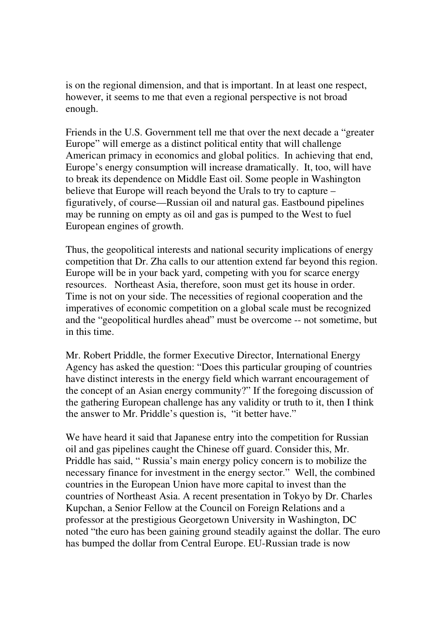is on the regional dimension, and that is important. In at least one respect, however, it seems to me that even a regional perspective is not broad enough.

Friends in the U.S. Government tell me that over the next decade a "greater Europe" will emerge as a distinct political entity that will challenge American primacy in economics and global politics. In achieving that end, Europe's energy consumption will increase dramatically. It, too, will have to break its dependence on Middle East oil. Some people in Washington believe that Europe will reach beyond the Urals to try to capture – figuratively, of course—Russian oil and natural gas. Eastbound pipelines may be running on empty as oil and gas is pumped to the West to fuel European engines of growth.

Thus, the geopolitical interests and national security implications of energy competition that Dr. Zha calls to our attention extend far beyond this region. Europe will be in your back yard, competing with you for scarce energy resources. Northeast Asia, therefore, soon must get its house in order. Time is not on your side. The necessities of regional cooperation and the imperatives of economic competition on a global scale must be recognized and the "geopolitical hurdles ahead" must be overcome -- not sometime, but in this time.

Mr. Robert Priddle, the former Executive Director, International Energy Agency has asked the question: "Does this particular grouping of countries have distinct interests in the energy field which warrant encouragement of the concept of an Asian energy community?" If the foregoing discussion of the gathering European challenge has any validity or truth to it, then I think the answer to Mr. Priddle's question is, "it better have."

We have heard it said that Japanese entry into the competition for Russian oil and gas pipelines caught the Chinese off guard. Consider this, Mr. Priddle has said, " Russia's main energy policy concern is to mobilize the necessary finance for investment in the energy sector." Well, the combined countries in the European Union have more capital to invest than the countries of Northeast Asia. A recent presentation in Tokyo by Dr. Charles Kupchan, a Senior Fellow at the Council on Foreign Relations and a professor at the prestigious Georgetown University in Washington, DC noted "the euro has been gaining ground steadily against the dollar. The euro has bumped the dollar from Central Europe. EU-Russian trade is now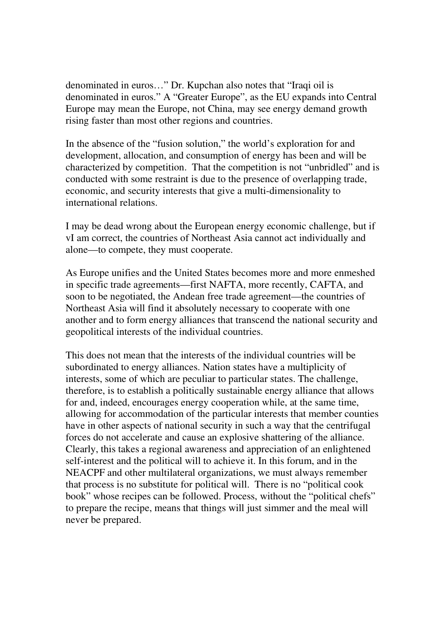denominated in euros…" Dr. Kupchan also notes that "Iraqi oil is denominated in euros." A "Greater Europe", as the EU expands into Central Europe may mean the Europe, not China, may see energy demand growth rising faster than most other regions and countries.

In the absence of the "fusion solution," the world's exploration for and development, allocation, and consumption of energy has been and will be characterized by competition. That the competition is not "unbridled" and is conducted with some restraint is due to the presence of overlapping trade, economic, and security interests that give a multi-dimensionality to international relations.

I may be dead wrong about the European energy economic challenge, but if vI am correct, the countries of Northeast Asia cannot act individually and alone—to compete, they must cooperate.

As Europe unifies and the United States becomes more and more enmeshed in specific trade agreements—first NAFTA, more recently, CAFTA, and soon to be negotiated, the Andean free trade agreement—the countries of Northeast Asia will find it absolutely necessary to cooperate with one another and to form energy alliances that transcend the national security and geopolitical interests of the individual countries.

This does not mean that the interests of the individual countries will be subordinated to energy alliances. Nation states have a multiplicity of interests, some of which are peculiar to particular states. The challenge, therefore, is to establish a politically sustainable energy alliance that allows for and, indeed, encourages energy cooperation while, at the same time, allowing for accommodation of the particular interests that member counties have in other aspects of national security in such a way that the centrifugal forces do not accelerate and cause an explosive shattering of the alliance. Clearly, this takes a regional awareness and appreciation of an enlightened self-interest and the political will to achieve it. In this forum, and in the NEACPF and other multilateral organizations, we must always remember that process is no substitute for political will. There is no "political cook book" whose recipes can be followed. Process, without the "political chefs" to prepare the recipe, means that things will just simmer and the meal will never be prepared.